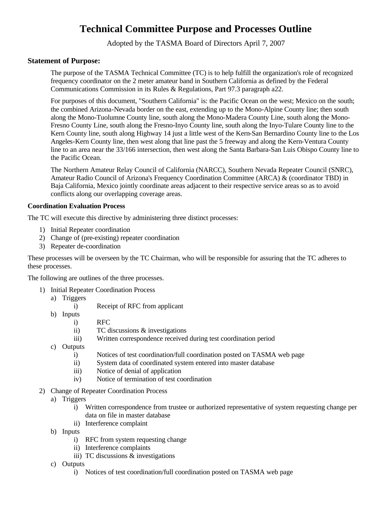# **Technical Committee Purpose and Processes Outline**

Adopted by the TASMA Board of Directors April 7, 2007

## **Statement of Purpose:**

The purpose of the TASMA Technical Committee (TC) is to help fulfill the organization's role of recognized frequency coordinator on the 2 meter amateur band in Southern California as defined by the Federal Communications Commission in its Rules & Regulations, Part 97.3 paragraph a22.

For purposes of this document, "Southern California" is: the Pacific Ocean on the west; Mexico on the south; the combined Arizona-Nevada border on the east, extending up to the Mono-Alpine County line; then south along the Mono-Tuolumne County line, south along the Mono-Madera County Line, south along the Mono-Fresno County Line, south along the Fresno-Inyo County line, south along the Inyo-Tulare County line to the Kern County line, south along Highway 14 just a little west of the Kern-San Bernardino County line to the Los Angeles-Kern County line, then west along that line past the 5 freeway and along the Kern-Ventura County line to an area near the 33/166 intersection, then west along the Santa Barbara-San Luis Obispo County line to the Pacific Ocean.

The Northern Amateur Relay Council of California (NARCC), Southern Nevada Repeater Council (SNRC), Amateur Radio Council of Arizona's Frequency Coordination Committee (ARCA) & (coordinator TBD) in Baja California, Mexico jointly coordinate areas adjacent to their respective service areas so as to avoid conflicts along our overlapping coverage areas.

#### **Coordination Evaluation Process**

The TC will execute this directive by administering three distinct processes:

- 1) Initial Repeater coordination
- 2) Change of (pre-existing) repeater coordination
- 3) Repeater de-coordination

These processes will be overseen by the TC Chairman, who will be responsible for assuring that the TC adheres to these processes.

The following are outlines of the three processes.

- 1) Initial Repeater Coordination Process
	- a) Triggers
		- i) Receipt of RFC from applicant
	- b) Inputs
		- i) RFC
		- ii) TC discussions & investigations
		- iii) Written correspondence received during test coordination period
	- c) Outputs
		- i) Notices of test coordination/full coordination posted on TASMA web page
		- ii) System data of coordinated system entered into master database
		- iii) Notice of denial of application
		- iv) Notice of termination of test coordination
- 2) Change of Repeater Coordination Process
	- a) Triggers
		- i) Written correspondence from trustee or authorized representative of system requesting change per data on file in master database
		- ii) Interference complaint
	- b) Inputs
		- i) RFC from system requesting change
		- ii) Interference complaints
		- iii) TC discussions & investigations
	- c) Outputs
		- i) Notices of test coordination/full coordination posted on TASMA web page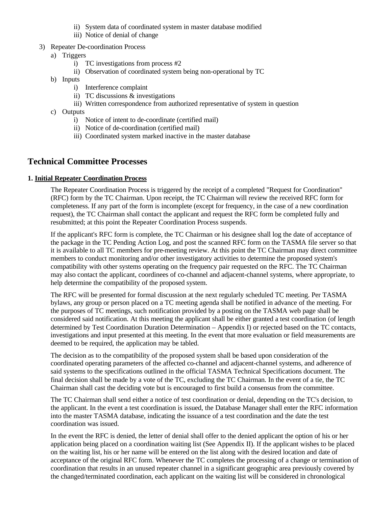- ii) System data of coordinated system in master database modified
- iii) Notice of denial of change
- 3) Repeater De-coordination Process
	- a) Triggers
		- i) TC investigations from process #2
		- ii) Observation of coordinated system being non-operational by TC
	- b) Inputs
		- i) Interference complaint
		- ii) TC discussions & investigations
		- iii) Written correspondence from authorized representative of system in question
	- c) Outputs
		- i) Notice of intent to de-coordinate (certified mail)
		- ii) Notice of de-coordination (certified mail)
		- iii) Coordinated system marked inactive in the master database

# **Technical Committee Processes**

#### **1. Initial Repeater Coordination Process**

The Repeater Coordination Process is triggered by the receipt of a completed "Request for Coordination" (RFC) form by the TC Chairman. Upon receipt, the TC Chairman will review the received RFC form for completeness. If any part of the form is incomplete (except for frequency, in the case of a new coordination request), the TC Chairman shall contact the applicant and request the RFC form be completed fully and resubmitted; at this point the Repeater Coordination Process suspends.

If the applicant's RFC form is complete, the TC Chairman or his designee shall log the date of acceptance of the package in the TC Pending Action Log, and post the scanned RFC form on the TASMA file server so that it is available to all TC members for pre-meeting review. At this point the TC Chairman may direct committee members to conduct monitoring and/or other investigatory activities to determine the proposed system's compatibility with other systems operating on the frequency pair requested on the RFC. The TC Chairman may also contact the applicant, coordinees of co-channel and adjacent-channel systems, where appropriate, to help determine the compatibility of the proposed system.

The RFC will be presented for formal discussion at the next regularly scheduled TC meeting. Per TASMA bylaws, any group or person placed on a TC meeting agenda shall be notified in advance of the meeting. For the purposes of TC meetings, such notification provided by a posting on the TASMA web page shall be considered said notification. At this meeting the applicant shall be either granted a test coordination (of length determined by Test Coordination Duration Determination – Appendix I) or rejected based on the TC contacts, investigations and input presented at this meeting. In the event that more evaluation or field measurements are deemed to be required, the application may be tabled.

The decision as to the compatibility of the proposed system shall be based upon consideration of the coordinated operating parameters of the affected co-channel and adjacent-channel systems, and adherence of said systems to the specifications outlined in the official TASMA Technical Specifications document. The final decision shall be made by a vote of the TC, excluding the TC Chairman. In the event of a tie, the TC Chairman shall cast the deciding vote but is encouraged to first build a consensus from the committee.

The TC Chairman shall send either a notice of test coordination or denial, depending on the TC's decision, to the applicant. In the event a test coordination is issued, the Database Manager shall enter the RFC information into the master TASMA database, indicating the issuance of a test coordination and the date the test coordination was issued.

In the event the RFC is denied, the letter of denial shall offer to the denied applicant the option of his or her application being placed on a coordination waiting list (See Appendix II). If the applicant wishes to be placed on the waiting list, his or her name will be entered on the list along with the desired location and date of acceptance of the original RFC form. Whenever the TC completes the processing of a change or termination of coordination that results in an unused repeater channel in a significant geographic area previously covered by the changed/terminated coordination, each applicant on the waiting list will be considered in chronological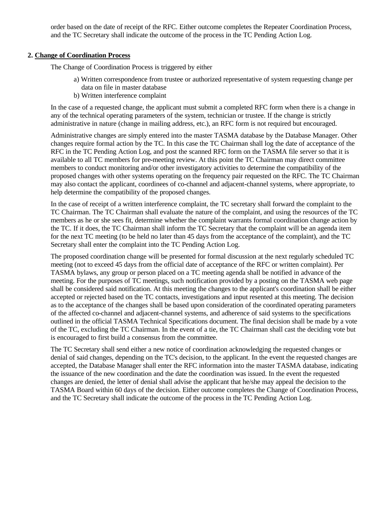order based on the date of receipt of the RFC. Either outcome completes the Repeater Coordination Process, and the TC Secretary shall indicate the outcome of the process in the TC Pending Action Log.

#### **2. Change of Coordination Process**

The Change of Coordination Process is triggered by either

- a) Written correspondence from trustee or authorized representative of system requesting change per data on file in master database
- b) Written interference complaint

In the case of a requested change, the applicant must submit a completed RFC form when there is a change in any of the technical operating parameters of the system, technician or trustee. If the change is strictly administrative in nature (change in mailing address, etc.), an RFC form is not required but encouraged.

Administrative changes are simply entered into the master TASMA database by the Database Manager. Other changes require formal action by the TC. In this case the TC Chairman shall log the date of acceptance of the RFC in the TC Pending Action Log, and post the scanned RFC form on the TASMA file server so that it is available to all TC members for pre-meeting review. At this point the TC Chairman may direct committee members to conduct monitoring and/or other investigatory activities to determine the compatibility of the proposed changes with other systems operating on the frequency pair requested on the RFC. The TC Chairman may also contact the applicant, coordinees of co-channel and adjacent-channel systems, where appropriate, to help determine the compatibility of the proposed changes.

In the case of receipt of a written interference complaint, the TC secretary shall forward the complaint to the TC Chairman. The TC Chairman shall evaluate the nature of the complaint, and using the resources of the TC members as he or she sees fit, determine whether the complaint warrants formal coordination change action by the TC. If it does, the TC Chairman shall inform the TC Secretary that the complaint will be an agenda item for the next TC meeting (to be held no later than 45 days from the acceptance of the complaint), and the TC Secretary shall enter the complaint into the TC Pending Action Log.

The proposed coordination change will be presented for formal discussion at the next regularly scheduled TC meeting (not to exceed 45 days from the official date of acceptance of the RFC or written complaint). Per TASMA bylaws, any group or person placed on a TC meeting agenda shall be notified in advance of the meeting. For the purposes of TC meetings, such notification provided by a posting on the TASMA web page shall be considered said notification. At this meeting the changes to the applicant's coordination shall be either accepted or rejected based on the TC contacts, investigations and input resented at this meeting. The decision as to the acceptance of the changes shall be based upon consideration of the coordinated operating parameters of the affected co-channel and adjacent-channel systems, and adherence of said systems to the specifications outlined in the official TASMA Technical Specifications document. The final decision shall be made by a vote of the TC, excluding the TC Chairman. In the event of a tie, the TC Chairman shall cast the deciding vote but is encouraged to first build a consensus from the committee.

The TC Secretary shall send either a new notice of coordination acknowledging the requested changes or denial of said changes, depending on the TC's decision, to the applicant. In the event the requested changes are accepted, the Database Manager shall enter the RFC information into the master TASMA database, indicating the issuance of the new coordination and the date the coordination was issued. In the event the requested changes are denied, the letter of denial shall advise the applicant that he/she may appeal the decision to the TASMA Board within 60 days of the decision. Either outcome completes the Change of Coordination Process, and the TC Secretary shall indicate the outcome of the process in the TC Pending Action Log.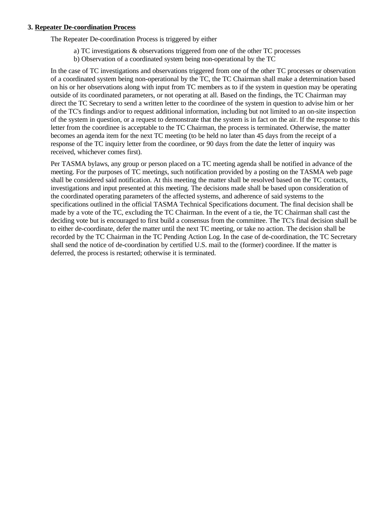#### **3. Repeater De-coordination Process**

The Repeater De-coordination Process is triggered by either

- a) TC investigations & observations triggered from one of the other TC processes
- b) Observation of a coordinated system being non-operational by the TC

In the case of TC investigations and observations triggered from one of the other TC processes or observation of a coordinated system being non-operational by the TC, the TC Chairman shall make a determination based on his or her observations along with input from TC members as to if the system in question may be operating outside of its coordinated parameters, or not operating at all. Based on the findings, the TC Chairman may direct the TC Secretary to send a written letter to the coordinee of the system in question to advise him or her of the TC's findings and/or to request additional information, including but not limited to an on-site inspection of the system in question, or a request to demonstrate that the system is in fact on the air. If the response to this letter from the coordinee is acceptable to the TC Chairman, the process is terminated. Otherwise, the matter becomes an agenda item for the next TC meeting (to be held no later than 45 days from the receipt of a response of the TC inquiry letter from the coordinee, or 90 days from the date the letter of inquiry was received, whichever comes first).

Per TASMA bylaws, any group or person placed on a TC meeting agenda shall be notified in advance of the meeting. For the purposes of TC meetings, such notification provided by a posting on the TASMA web page shall be considered said notification. At this meeting the matter shall be resolved based on the TC contacts, investigations and input presented at this meeting. The decisions made shall be based upon consideration of the coordinated operating parameters of the affected systems, and adherence of said systems to the specifications outlined in the official TASMA Technical Specifications document. The final decision shall be made by a vote of the TC, excluding the TC Chairman. In the event of a tie, the TC Chairman shall cast the deciding vote but is encouraged to first build a consensus from the committee. The TC's final decision shall be to either de-coordinate, defer the matter until the next TC meeting, or take no action. The decision shall be recorded by the TC Chairman in the TC Pending Action Log. In the case of de-coordination, the TC Secretary shall send the notice of de-coordination by certified U.S. mail to the (former) coordinee. If the matter is deferred, the process is restarted; otherwise it is terminated.